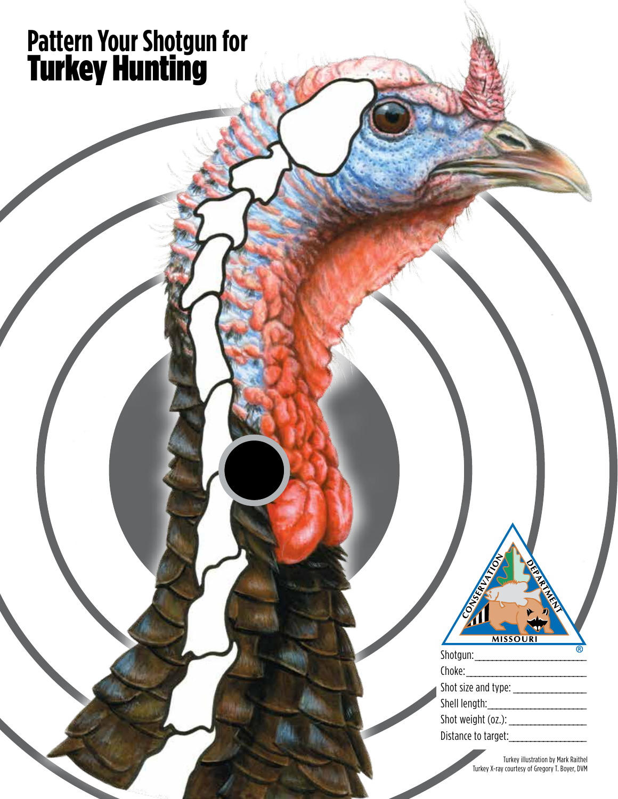## **Pattern Your Shotgun for** Turkey Hunting

| <b>MISSOURI</b>     |
|---------------------|
| Shotgun:            |
| Choke:              |
| Shot size and type: |
| Shell length:       |
| Shot weight (oz.):  |
| Distance to target: |

Turkey illustration by Mark Raithel Turkey X-ray courtesy of Gregory T. Boyer, DVM